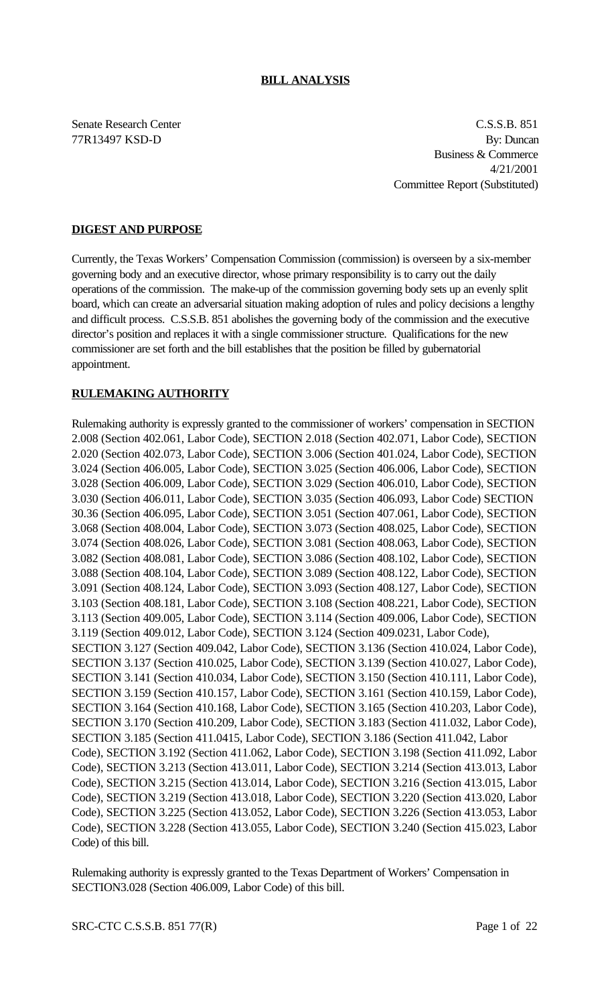Senate Research Center C.S.S.B. 851 77R13497 KSD-D By: Duncan Business & Commerce 4/21/2001 Committee Report (Substituted)

# **DIGEST AND PURPOSE**

Currently, the Texas Workers' Compensation Commission (commission) is overseen by a six-member governing body and an executive director, whose primary responsibility is to carry out the daily operations of the commission. The make-up of the commission governing body sets up an evenly split board, which can create an adversarial situation making adoption of rules and policy decisions a lengthy and difficult process. C.S.S.B. 851 abolishes the governing body of the commission and the executive director's position and replaces it with a single commissioner structure. Qualifications for the new commissioner are set forth and the bill establishes that the position be filled by gubernatorial appointment.

# **RULEMAKING AUTHORITY**

Rulemaking authority is expressly granted to the commissioner of workers' compensation in SECTION 2.008 (Section 402.061, Labor Code), SECTION 2.018 (Section 402.071, Labor Code), SECTION 2.020 (Section 402.073, Labor Code), SECTION 3.006 (Section 401.024, Labor Code), SECTION 3.024 (Section 406.005, Labor Code), SECTION 3.025 (Section 406.006, Labor Code), SECTION 3.028 (Section 406.009, Labor Code), SECTION 3.029 (Section 406.010, Labor Code), SECTION 3.030 (Section 406.011, Labor Code), SECTION 3.035 (Section 406.093, Labor Code) SECTION 30.36 (Section 406.095, Labor Code), SECTION 3.051 (Section 407.061, Labor Code), SECTION 3.068 (Section 408.004, Labor Code), SECTION 3.073 (Section 408.025, Labor Code), SECTION 3.074 (Section 408.026, Labor Code), SECTION 3.081 (Section 408.063, Labor Code), SECTION 3.082 (Section 408.081, Labor Code), SECTION 3.086 (Section 408.102, Labor Code), SECTION 3.088 (Section 408.104, Labor Code), SECTION 3.089 (Section 408.122, Labor Code), SECTION 3.091 (Section 408.124, Labor Code), SECTION 3.093 (Section 408.127, Labor Code), SECTION 3.103 (Section 408.181, Labor Code), SECTION 3.108 (Section 408.221, Labor Code), SECTION 3.113 (Section 409.005, Labor Code), SECTION 3.114 (Section 409.006, Labor Code), SECTION 3.119 (Section 409.012, Labor Code), SECTION 3.124 (Section 409.0231, Labor Code), SECTION 3.127 (Section 409.042, Labor Code), SECTION 3.136 (Section 410.024, Labor Code), SECTION 3.137 (Section 410.025, Labor Code), SECTION 3.139 (Section 410.027, Labor Code), SECTION 3.141 (Section 410.034, Labor Code), SECTION 3.150 (Section 410.111, Labor Code), SECTION 3.159 (Section 410.157, Labor Code), SECTION 3.161 (Section 410.159, Labor Code), SECTION 3.164 (Section 410.168, Labor Code), SECTION 3.165 (Section 410.203, Labor Code), SECTION 3.170 (Section 410.209, Labor Code), SECTION 3.183 (Section 411.032, Labor Code), SECTION 3.185 (Section 411.0415, Labor Code), SECTION 3.186 (Section 411.042, Labor Code), SECTION 3.192 (Section 411.062, Labor Code), SECTION 3.198 (Section 411.092, Labor Code), SECTION 3.213 (Section 413.011, Labor Code), SECTION 3.214 (Section 413.013, Labor Code), SECTION 3.215 (Section 413.014, Labor Code), SECTION 3.216 (Section 413.015, Labor Code), SECTION 3.219 (Section 413.018, Labor Code), SECTION 3.220 (Section 413.020, Labor Code), SECTION 3.225 (Section 413.052, Labor Code), SECTION 3.226 (Section 413.053, Labor Code), SECTION 3.228 (Section 413.055, Labor Code), SECTION 3.240 (Section 415.023, Labor Code) of this bill.

Rulemaking authority is expressly granted to the Texas Department of Workers' Compensation in SECTION3.028 (Section 406.009, Labor Code) of this bill.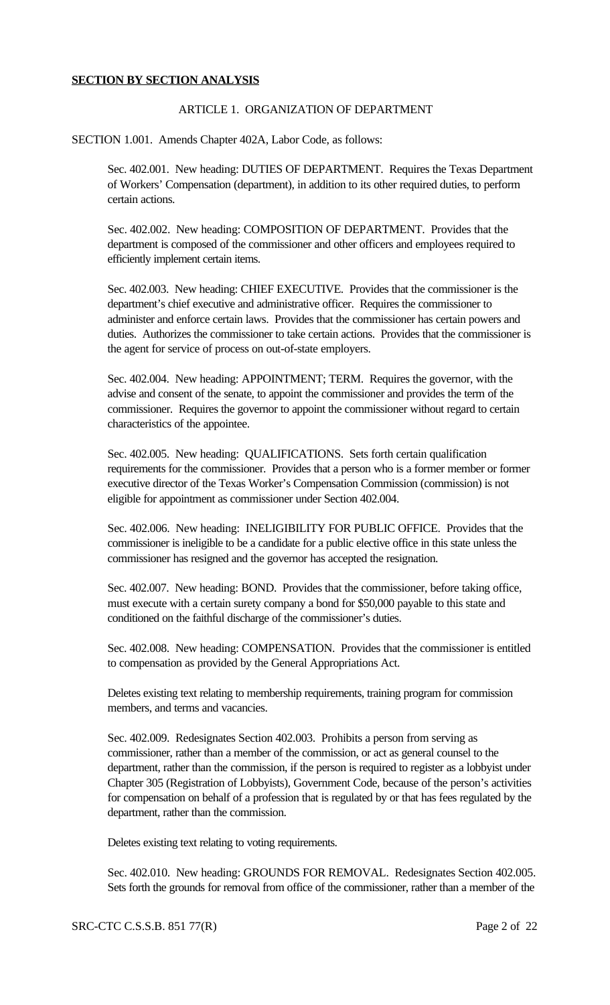#### **SECTION BY SECTION ANALYSIS**

# ARTICLE 1. ORGANIZATION OF DEPARTMENT

SECTION 1.001. Amends Chapter 402A, Labor Code, as follows:

Sec. 402.001. New heading: DUTIES OF DEPARTMENT. Requires the Texas Department of Workers' Compensation (department), in addition to its other required duties, to perform certain actions.

Sec. 402.002. New heading: COMPOSITION OF DEPARTMENT. Provides that the department is composed of the commissioner and other officers and employees required to efficiently implement certain items.

Sec. 402.003. New heading: CHIEF EXECUTIVE. Provides that the commissioner is the department's chief executive and administrative officer. Requires the commissioner to administer and enforce certain laws. Provides that the commissioner has certain powers and duties. Authorizes the commissioner to take certain actions. Provides that the commissioner is the agent for service of process on out-of-state employers.

Sec. 402.004. New heading: APPOINTMENT; TERM. Requires the governor, with the advise and consent of the senate, to appoint the commissioner and provides the term of the commissioner. Requires the governor to appoint the commissioner without regard to certain characteristics of the appointee.

Sec. 402.005. New heading: QUALIFICATIONS. Sets forth certain qualification requirements for the commissioner. Provides that a person who is a former member or former executive director of the Texas Worker's Compensation Commission (commission) is not eligible for appointment as commissioner under Section 402.004.

Sec. 402.006. New heading: INELIGIBILITY FOR PUBLIC OFFICE. Provides that the commissioner is ineligible to be a candidate for a public elective office in this state unless the commissioner has resigned and the governor has accepted the resignation.

Sec. 402.007. New heading: BOND. Provides that the commissioner, before taking office, must execute with a certain surety company a bond for \$50,000 payable to this state and conditioned on the faithful discharge of the commissioner's duties.

Sec. 402.008. New heading: COMPENSATION. Provides that the commissioner is entitled to compensation as provided by the General Appropriations Act.

Deletes existing text relating to membership requirements, training program for commission members, and terms and vacancies.

Sec. 402.009. Redesignates Section 402.003. Prohibits a person from serving as commissioner, rather than a member of the commission, or act as general counsel to the department, rather than the commission, if the person is required to register as a lobbyist under Chapter 305 (Registration of Lobbyists), Government Code, because of the person's activities for compensation on behalf of a profession that is regulated by or that has fees regulated by the department, rather than the commission.

Deletes existing text relating to voting requirements.

Sec. 402.010. New heading: GROUNDS FOR REMOVAL. Redesignates Section 402.005. Sets forth the grounds for removal from office of the commissioner, rather than a member of the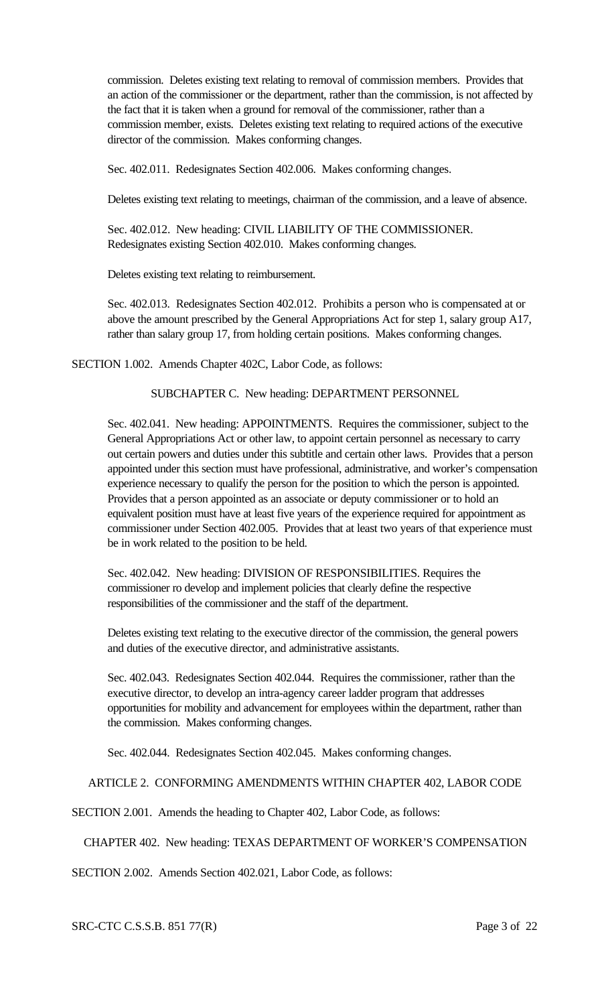commission. Deletes existing text relating to removal of commission members. Provides that an action of the commissioner or the department, rather than the commission, is not affected by the fact that it is taken when a ground for removal of the commissioner, rather than a commission member, exists. Deletes existing text relating to required actions of the executive director of the commission. Makes conforming changes.

Sec. 402.011. Redesignates Section 402.006. Makes conforming changes.

Deletes existing text relating to meetings, chairman of the commission, and a leave of absence.

Sec. 402.012. New heading: CIVIL LIABILITY OF THE COMMISSIONER. Redesignates existing Section 402.010. Makes conforming changes.

Deletes existing text relating to reimbursement.

Sec. 402.013. Redesignates Section 402.012. Prohibits a person who is compensated at or above the amount prescribed by the General Appropriations Act for step 1, salary group A17, rather than salary group 17, from holding certain positions. Makes conforming changes.

SECTION 1.002. Amends Chapter 402C, Labor Code, as follows:

SUBCHAPTER C. New heading: DEPARTMENT PERSONNEL

Sec. 402.041. New heading: APPOINTMENTS. Requires the commissioner, subject to the General Appropriations Act or other law, to appoint certain personnel as necessary to carry out certain powers and duties under this subtitle and certain other laws. Provides that a person appointed under this section must have professional, administrative, and worker's compensation experience necessary to qualify the person for the position to which the person is appointed. Provides that a person appointed as an associate or deputy commissioner or to hold an equivalent position must have at least five years of the experience required for appointment as commissioner under Section 402.005. Provides that at least two years of that experience must be in work related to the position to be held.

Sec. 402.042. New heading: DIVISION OF RESPONSIBILITIES. Requires the commissioner ro develop and implement policies that clearly define the respective responsibilities of the commissioner and the staff of the department.

Deletes existing text relating to the executive director of the commission, the general powers and duties of the executive director, and administrative assistants.

Sec. 402.043. Redesignates Section 402.044. Requires the commissioner, rather than the executive director, to develop an intra-agency career ladder program that addresses opportunities for mobility and advancement for employees within the department, rather than the commission. Makes conforming changes.

Sec. 402.044. Redesignates Section 402.045. Makes conforming changes.

ARTICLE 2. CONFORMING AMENDMENTS WITHIN CHAPTER 402, LABOR CODE

SECTION 2.001. Amends the heading to Chapter 402, Labor Code, as follows:

CHAPTER 402. New heading: TEXAS DEPARTMENT OF WORKER'S COMPENSATION

SECTION 2.002. Amends Section 402.021, Labor Code, as follows:

SRC-CTC C.S.S.B. 851 77(R) Page 3 of 22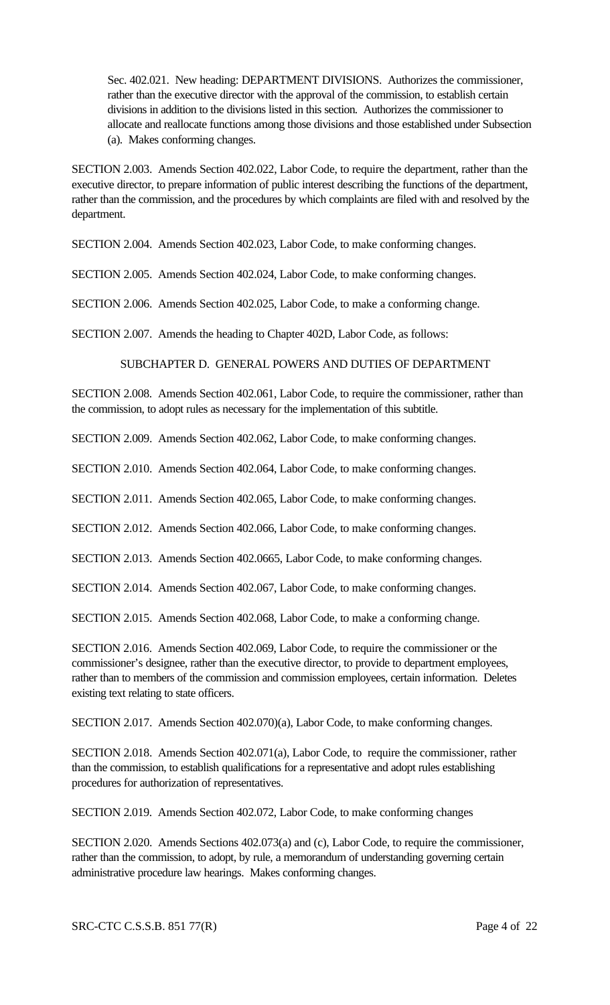Sec. 402.021. New heading: DEPARTMENT DIVISIONS. Authorizes the commissioner, rather than the executive director with the approval of the commission, to establish certain divisions in addition to the divisions listed in this section. Authorizes the commissioner to allocate and reallocate functions among those divisions and those established under Subsection (a). Makes conforming changes.

SECTION 2.003. Amends Section 402.022, Labor Code, to require the department, rather than the executive director, to prepare information of public interest describing the functions of the department, rather than the commission, and the procedures by which complaints are filed with and resolved by the department.

SECTION 2.004. Amends Section 402.023, Labor Code, to make conforming changes.

SECTION 2.005. Amends Section 402.024, Labor Code, to make conforming changes.

SECTION 2.006. Amends Section 402.025, Labor Code, to make a conforming change.

SECTION 2.007. Amends the heading to Chapter 402D, Labor Code, as follows:

SUBCHAPTER D. GENERAL POWERS AND DUTIES OF DEPARTMENT

SECTION 2.008. Amends Section 402.061, Labor Code, to require the commissioner, rather than the commission, to adopt rules as necessary for the implementation of this subtitle.

SECTION 2.009. Amends Section 402.062, Labor Code, to make conforming changes.

SECTION 2.010. Amends Section 402.064, Labor Code, to make conforming changes.

SECTION 2.011. Amends Section 402.065, Labor Code, to make conforming changes.

SECTION 2.012. Amends Section 402.066, Labor Code, to make conforming changes.

SECTION 2.013. Amends Section 402.0665, Labor Code, to make conforming changes.

SECTION 2.014. Amends Section 402.067, Labor Code, to make conforming changes.

SECTION 2.015. Amends Section 402.068, Labor Code, to make a conforming change.

SECTION 2.016. Amends Section 402.069, Labor Code, to require the commissioner or the commissioner's designee, rather than the executive director, to provide to department employees, rather than to members of the commission and commission employees, certain information. Deletes existing text relating to state officers.

SECTION 2.017. Amends Section 402.070)(a), Labor Code, to make conforming changes.

SECTION 2.018. Amends Section 402.071(a), Labor Code, to require the commissioner, rather than the commission, to establish qualifications for a representative and adopt rules establishing procedures for authorization of representatives.

SECTION 2.019. Amends Section 402.072, Labor Code, to make conforming changes

SECTION 2.020. Amends Sections 402.073(a) and (c), Labor Code, to require the commissioner, rather than the commission, to adopt, by rule, a memorandum of understanding governing certain administrative procedure law hearings. Makes conforming changes.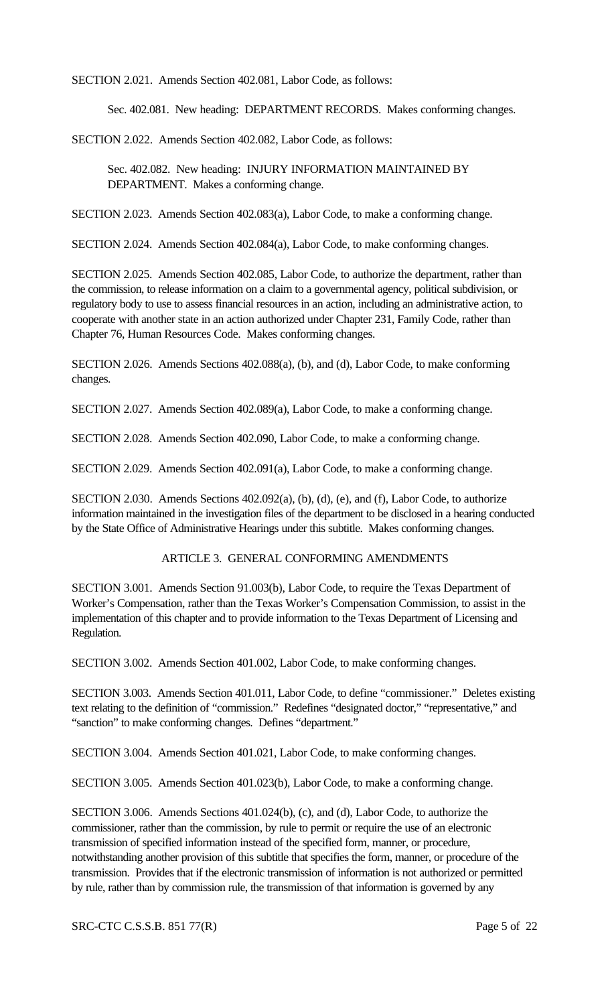SECTION 2.021. Amends Section 402.081, Labor Code, as follows:

Sec. 402.081. New heading: DEPARTMENT RECORDS. Makes conforming changes.

SECTION 2.022. Amends Section 402.082, Labor Code, as follows:

Sec. 402.082. New heading: INJURY INFORMATION MAINTAINED BY DEPARTMENT. Makes a conforming change.

SECTION 2.023. Amends Section 402.083(a), Labor Code, to make a conforming change.

SECTION 2.024. Amends Section 402.084(a), Labor Code, to make conforming changes.

SECTION 2.025. Amends Section 402.085, Labor Code, to authorize the department, rather than the commission, to release information on a claim to a governmental agency, political subdivision, or regulatory body to use to assess financial resources in an action, including an administrative action, to cooperate with another state in an action authorized under Chapter 231, Family Code, rather than Chapter 76, Human Resources Code. Makes conforming changes.

SECTION 2.026. Amends Sections 402.088(a), (b), and (d), Labor Code, to make conforming changes.

SECTION 2.027. Amends Section 402.089(a), Labor Code, to make a conforming change.

SECTION 2.028. Amends Section 402.090, Labor Code, to make a conforming change.

SECTION 2.029. Amends Section 402.091(a), Labor Code, to make a conforming change.

SECTION 2.030. Amends Sections 402.092(a), (b), (d), (e), and (f), Labor Code, to authorize information maintained in the investigation files of the department to be disclosed in a hearing conducted by the State Office of Administrative Hearings under this subtitle. Makes conforming changes.

# ARTICLE 3. GENERAL CONFORMING AMENDMENTS

SECTION 3.001. Amends Section 91.003(b), Labor Code, to require the Texas Department of Worker's Compensation, rather than the Texas Worker's Compensation Commission, to assist in the implementation of this chapter and to provide information to the Texas Department of Licensing and Regulation.

SECTION 3.002. Amends Section 401.002, Labor Code, to make conforming changes.

SECTION 3.003. Amends Section 401.011, Labor Code, to define "commissioner." Deletes existing text relating to the definition of "commission." Redefines "designated doctor," "representative," and "sanction" to make conforming changes. Defines "department."

SECTION 3.004. Amends Section 401.021, Labor Code, to make conforming changes.

SECTION 3.005. Amends Section 401.023(b), Labor Code, to make a conforming change.

SECTION 3.006. Amends Sections 401.024(b), (c), and (d), Labor Code, to authorize the commissioner, rather than the commission, by rule to permit or require the use of an electronic transmission of specified information instead of the specified form, manner, or procedure, notwithstanding another provision of this subtitle that specifies the form, manner, or procedure of the transmission. Provides that if the electronic transmission of information is not authorized or permitted by rule, rather than by commission rule, the transmission of that information is governed by any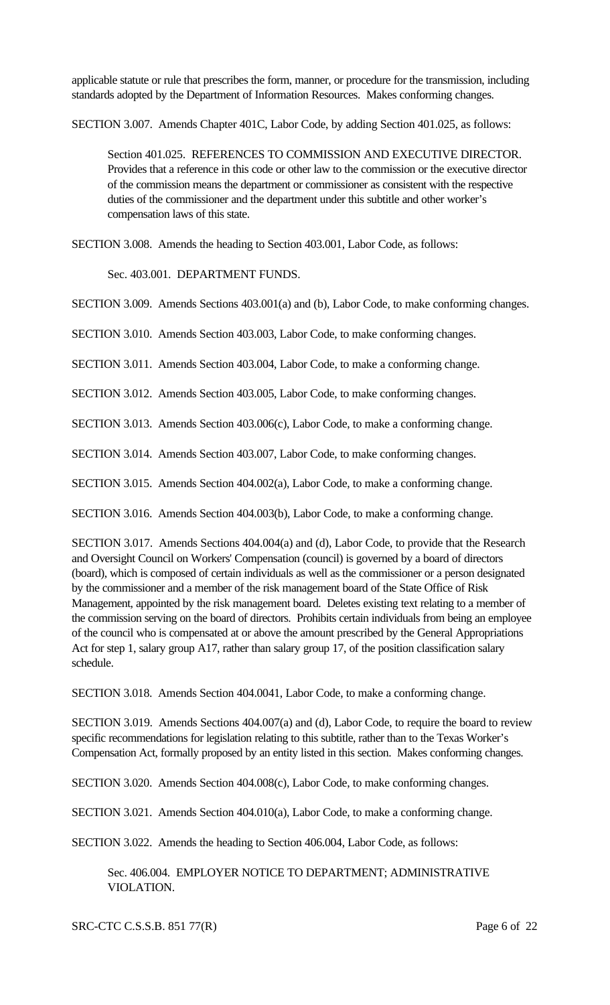applicable statute or rule that prescribes the form, manner, or procedure for the transmission, including standards adopted by the Department of Information Resources. Makes conforming changes.

SECTION 3.007. Amends Chapter 401C, Labor Code, by adding Section 401.025, as follows:

Section 401.025. REFERENCES TO COMMISSION AND EXECUTIVE DIRECTOR. Provides that a reference in this code or other law to the commission or the executive director of the commission means the department or commissioner as consistent with the respective duties of the commissioner and the department under this subtitle and other worker's compensation laws of this state.

SECTION 3.008. Amends the heading to Section 403.001, Labor Code, as follows:

Sec. 403.001. DEPARTMENT FUNDS.

SECTION 3.009. Amends Sections 403.001(a) and (b), Labor Code, to make conforming changes.

SECTION 3.010. Amends Section 403.003, Labor Code, to make conforming changes.

SECTION 3.011. Amends Section 403.004, Labor Code, to make a conforming change.

SECTION 3.012. Amends Section 403.005, Labor Code, to make conforming changes.

SECTION 3.013. Amends Section 403.006(c), Labor Code, to make a conforming change.

SECTION 3.014. Amends Section 403.007, Labor Code, to make conforming changes.

SECTION 3.015. Amends Section 404.002(a), Labor Code, to make a conforming change.

SECTION 3.016. Amends Section 404.003(b), Labor Code, to make a conforming change.

SECTION 3.017. Amends Sections 404.004(a) and (d), Labor Code, to provide that the Research and Oversight Council on Workers' Compensation (council) is governed by a board of directors (board), which is composed of certain individuals as well as the commissioner or a person designated by the commissioner and a member of the risk management board of the State Office of Risk Management, appointed by the risk management board. Deletes existing text relating to a member of the commission serving on the board of directors. Prohibits certain individuals from being an employee of the council who is compensated at or above the amount prescribed by the General Appropriations Act for step 1, salary group A17, rather than salary group 17, of the position classification salary schedule.

SECTION 3.018. Amends Section 404.0041, Labor Code, to make a conforming change.

SECTION 3.019. Amends Sections 404.007(a) and (d), Labor Code, to require the board to review specific recommendations for legislation relating to this subtitle, rather than to the Texas Worker's Compensation Act, formally proposed by an entity listed in this section. Makes conforming changes.

SECTION 3.020. Amends Section 404.008(c), Labor Code, to make conforming changes.

SECTION 3.021. Amends Section 404.010(a), Labor Code, to make a conforming change.

SECTION 3.022. Amends the heading to Section 406.004, Labor Code, as follows:

Sec. 406.004. EMPLOYER NOTICE TO DEPARTMENT; ADMINISTRATIVE VIOLATION.

SRC-CTC C.S.S.B. 851 77(R) Page 6 of 22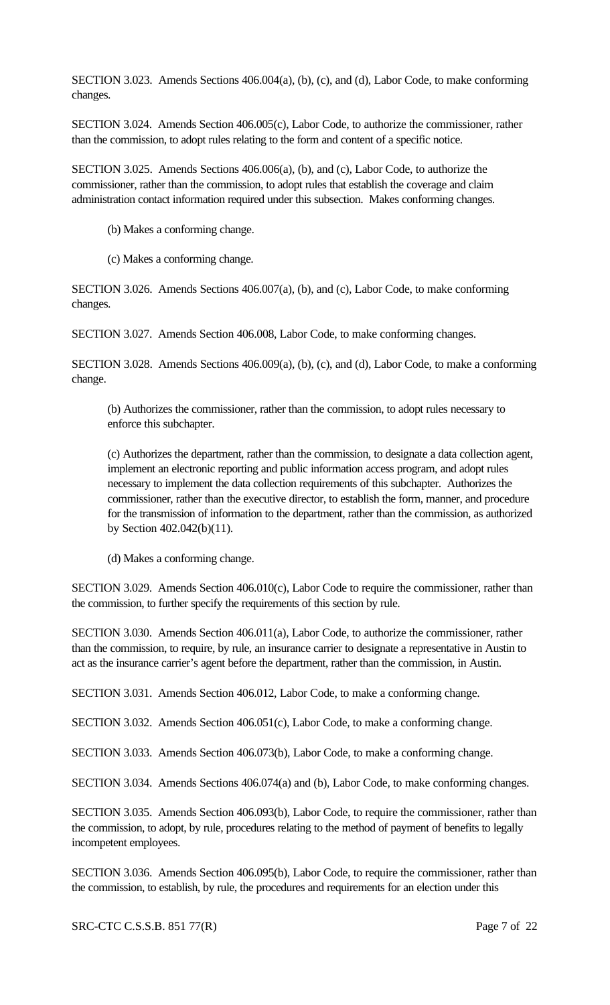SECTION 3.023. Amends Sections 406.004(a), (b), (c), and (d), Labor Code, to make conforming changes.

SECTION 3.024. Amends Section 406.005(c), Labor Code, to authorize the commissioner, rather than the commission, to adopt rules relating to the form and content of a specific notice.

SECTION 3.025. Amends Sections 406.006(a), (b), and (c), Labor Code, to authorize the commissioner, rather than the commission, to adopt rules that establish the coverage and claim administration contact information required under this subsection. Makes conforming changes.

- (b) Makes a conforming change.
- (c) Makes a conforming change.

SECTION 3.026. Amends Sections 406.007(a), (b), and (c), Labor Code, to make conforming changes.

SECTION 3.027. Amends Section 406.008, Labor Code, to make conforming changes.

SECTION 3.028. Amends Sections 406.009(a), (b), (c), and (d), Labor Code, to make a conforming change.

(b) Authorizes the commissioner, rather than the commission, to adopt rules necessary to enforce this subchapter.

(c) Authorizes the department, rather than the commission, to designate a data collection agent, implement an electronic reporting and public information access program, and adopt rules necessary to implement the data collection requirements of this subchapter. Authorizes the commissioner, rather than the executive director, to establish the form, manner, and procedure for the transmission of information to the department, rather than the commission, as authorized by Section 402.042(b)(11).

(d) Makes a conforming change.

SECTION 3.029. Amends Section 406.010(c), Labor Code to require the commissioner, rather than the commission, to further specify the requirements of this section by rule.

SECTION 3.030. Amends Section 406.011(a), Labor Code, to authorize the commissioner, rather than the commission, to require, by rule, an insurance carrier to designate a representative in Austin to act as the insurance carrier's agent before the department, rather than the commission, in Austin.

SECTION 3.031. Amends Section 406.012, Labor Code, to make a conforming change.

SECTION 3.032. Amends Section 406.051(c), Labor Code, to make a conforming change.

SECTION 3.033. Amends Section 406.073(b), Labor Code, to make a conforming change.

SECTION 3.034. Amends Sections 406.074(a) and (b), Labor Code, to make conforming changes.

SECTION 3.035. Amends Section 406.093(b), Labor Code, to require the commissioner, rather than the commission, to adopt, by rule, procedures relating to the method of payment of benefits to legally incompetent employees.

SECTION 3.036. Amends Section 406.095(b), Labor Code, to require the commissioner, rather than the commission, to establish, by rule, the procedures and requirements for an election under this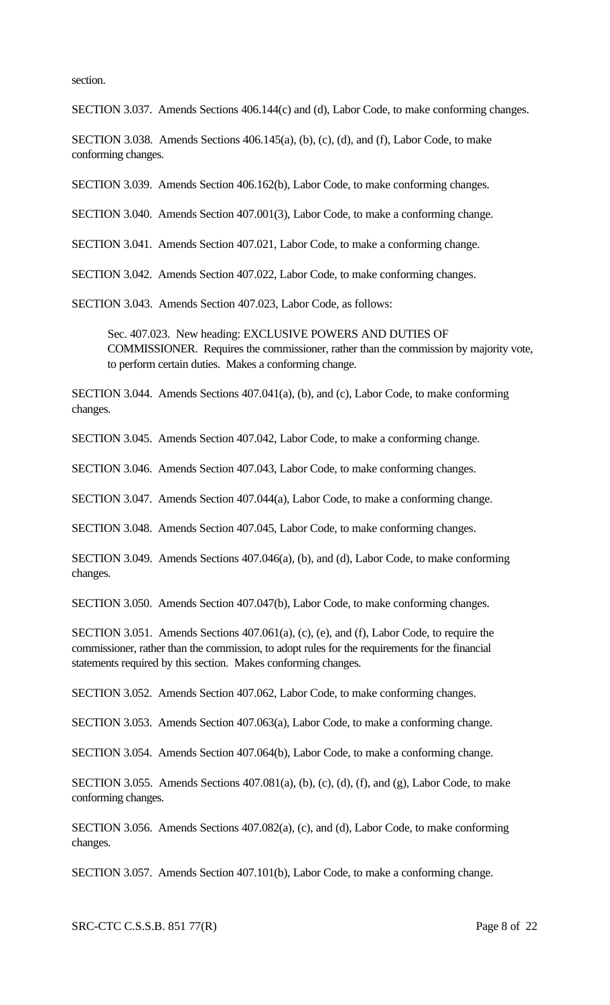section.

SECTION 3.037. Amends Sections 406.144(c) and (d), Labor Code, to make conforming changes.

SECTION 3.038. Amends Sections 406.145(a), (b), (c), (d), and (f), Labor Code, to make conforming changes.

SECTION 3.039. Amends Section 406.162(b), Labor Code, to make conforming changes.

SECTION 3.040. Amends Section 407.001(3), Labor Code, to make a conforming change.

SECTION 3.041. Amends Section 407.021, Labor Code, to make a conforming change.

SECTION 3.042. Amends Section 407.022, Labor Code, to make conforming changes.

SECTION 3.043. Amends Section 407.023, Labor Code, as follows:

Sec. 407.023. New heading: EXCLUSIVE POWERS AND DUTIES OF COMMISSIONER. Requires the commissioner, rather than the commission by majority vote, to perform certain duties. Makes a conforming change.

SECTION 3.044. Amends Sections 407.041(a), (b), and (c), Labor Code, to make conforming changes.

SECTION 3.045. Amends Section 407.042, Labor Code, to make a conforming change.

SECTION 3.046. Amends Section 407.043, Labor Code, to make conforming changes.

SECTION 3.047. Amends Section 407.044(a), Labor Code, to make a conforming change.

SECTION 3.048. Amends Section 407.045, Labor Code, to make conforming changes.

SECTION 3.049. Amends Sections 407.046(a), (b), and (d), Labor Code, to make conforming changes.

SECTION 3.050. Amends Section 407.047(b), Labor Code, to make conforming changes.

SECTION 3.051. Amends Sections 407.061(a), (c), (e), and (f), Labor Code, to require the commissioner, rather than the commission, to adopt rules for the requirements for the financial statements required by this section. Makes conforming changes.

SECTION 3.052. Amends Section 407.062, Labor Code, to make conforming changes.

SECTION 3.053. Amends Section 407.063(a), Labor Code, to make a conforming change.

SECTION 3.054. Amends Section 407.064(b), Labor Code, to make a conforming change.

SECTION 3.055. Amends Sections 407.081(a), (b), (c), (d), (f), and (g), Labor Code, to make conforming changes.

SECTION 3.056. Amends Sections 407.082(a), (c), and (d), Labor Code, to make conforming changes.

SECTION 3.057. Amends Section 407.101(b), Labor Code, to make a conforming change.

SRC-CTC C.S.S.B. 851 77(R) Page 8 of 22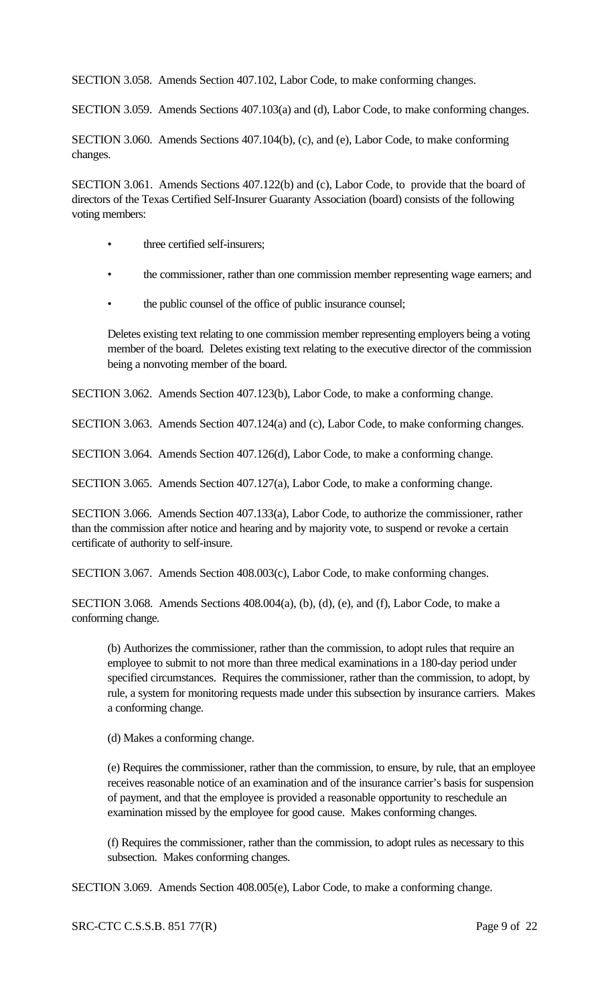SECTION 3.058. Amends Section 407.102, Labor Code, to make conforming changes.

SECTION 3.059. Amends Sections 407.103(a) and (d), Labor Code, to make conforming changes.

SECTION 3.060. Amends Sections 407.104(b), (c), and (e), Labor Code, to make conforming changes.

SECTION 3.061. Amends Sections 407.122(b) and (c), Labor Code, to provide that the board of directors of the Texas Certified Self-Insurer Guaranty Association (board) consists of the following voting members:

- three certified self-insurers;
- the commissioner, rather than one commission member representing wage earners; and
- the public counsel of the office of public insurance counsel;

Deletes existing text relating to one commission member representing employers being a voting member of the board. Deletes existing text relating to the executive director of the commission being a nonvoting member of the board.

SECTION 3.062. Amends Section 407.123(b), Labor Code, to make a conforming change.

SECTION 3.063. Amends Section 407.124(a) and (c), Labor Code, to make conforming changes.

SECTION 3.064. Amends Section 407.126(d), Labor Code, to make a conforming change.

SECTION 3.065. Amends Section 407.127(a), Labor Code, to make a conforming change.

SECTION 3.066. Amends Section 407.133(a), Labor Code, to authorize the commissioner, rather than the commission after notice and hearing and by majority vote, to suspend or revoke a certain certificate of authority to self-insure.

SECTION 3.067. Amends Section 408.003(c), Labor Code, to make conforming changes.

SECTION 3.068. Amends Sections 408.004(a), (b), (d), (e), and (f), Labor Code, to make a conforming change.

(b) Authorizes the commissioner, rather than the commission, to adopt rules that require an employee to submit to not more than three medical examinations in a 180-day period under specified circumstances. Requires the commissioner, rather than the commission, to adopt, by rule, a system for monitoring requests made under this subsection by insurance carriers. Makes a conforming change.

(d) Makes a conforming change.

(e) Requires the commissioner, rather than the commission, to ensure, by rule, that an employee receives reasonable notice of an examination and of the insurance carrier's basis for suspension of payment, and that the employee is provided a reasonable opportunity to reschedule an examination missed by the employee for good cause. Makes conforming changes.

(f) Requires the commissioner, rather than the commission, to adopt rules as necessary to this subsection. Makes conforming changes.

SECTION 3.069. Amends Section 408.005(e), Labor Code, to make a conforming change.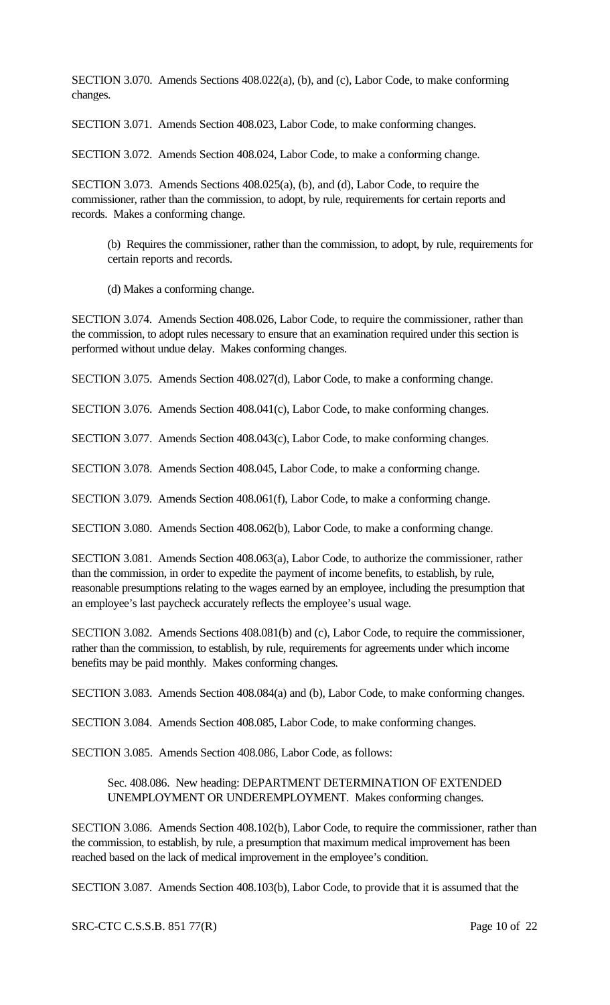SECTION 3.070. Amends Sections 408.022(a), (b), and (c), Labor Code, to make conforming changes.

SECTION 3.071. Amends Section 408.023, Labor Code, to make conforming changes.

SECTION 3.072. Amends Section 408.024, Labor Code, to make a conforming change.

SECTION 3.073. Amends Sections 408.025(a), (b), and (d), Labor Code, to require the commissioner, rather than the commission, to adopt, by rule, requirements for certain reports and records. Makes a conforming change.

(b) Requires the commissioner, rather than the commission, to adopt, by rule, requirements for certain reports and records.

(d) Makes a conforming change.

SECTION 3.074. Amends Section 408.026, Labor Code, to require the commissioner, rather than the commission, to adopt rules necessary to ensure that an examination required under this section is performed without undue delay. Makes conforming changes.

SECTION 3.075. Amends Section 408.027(d), Labor Code, to make a conforming change.

SECTION 3.076. Amends Section 408.041(c), Labor Code, to make conforming changes.

SECTION 3.077. Amends Section 408.043(c), Labor Code, to make conforming changes.

SECTION 3.078. Amends Section 408.045, Labor Code, to make a conforming change.

SECTION 3.079. Amends Section 408.061(f), Labor Code, to make a conforming change.

SECTION 3.080. Amends Section 408.062(b), Labor Code, to make a conforming change.

SECTION 3.081. Amends Section 408.063(a), Labor Code, to authorize the commissioner, rather than the commission, in order to expedite the payment of income benefits, to establish, by rule, reasonable presumptions relating to the wages earned by an employee, including the presumption that an employee's last paycheck accurately reflects the employee's usual wage.

SECTION 3.082. Amends Sections 408.081(b) and (c), Labor Code, to require the commissioner, rather than the commission, to establish, by rule, requirements for agreements under which income benefits may be paid monthly. Makes conforming changes.

SECTION 3.083. Amends Section 408.084(a) and (b), Labor Code, to make conforming changes.

SECTION 3.084. Amends Section 408.085, Labor Code, to make conforming changes.

SECTION 3.085. Amends Section 408.086, Labor Code, as follows:

# Sec. 408.086. New heading: DEPARTMENT DETERMINATION OF EXTENDED UNEMPLOYMENT OR UNDEREMPLOYMENT. Makes conforming changes.

SECTION 3.086. Amends Section 408.102(b), Labor Code, to require the commissioner, rather than the commission, to establish, by rule, a presumption that maximum medical improvement has been reached based on the lack of medical improvement in the employee's condition.

SECTION 3.087. Amends Section 408.103(b), Labor Code, to provide that it is assumed that the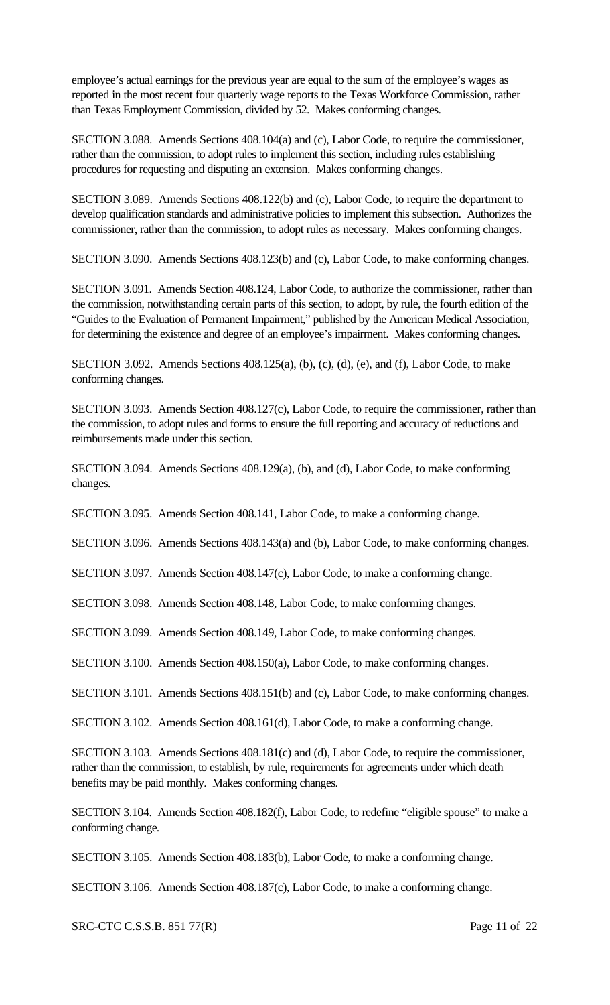employee's actual earnings for the previous year are equal to the sum of the employee's wages as reported in the most recent four quarterly wage reports to the Texas Workforce Commission, rather than Texas Employment Commission, divided by 52. Makes conforming changes.

SECTION 3.088. Amends Sections 408.104(a) and (c), Labor Code, to require the commissioner, rather than the commission, to adopt rules to implement this section, including rules establishing procedures for requesting and disputing an extension. Makes conforming changes.

SECTION 3.089. Amends Sections 408.122(b) and (c), Labor Code, to require the department to develop qualification standards and administrative policies to implement this subsection. Authorizes the commissioner, rather than the commission, to adopt rules as necessary. Makes conforming changes.

SECTION 3.090. Amends Sections 408.123(b) and (c), Labor Code, to make conforming changes.

SECTION 3.091. Amends Section 408.124, Labor Code, to authorize the commissioner, rather than the commission, notwithstanding certain parts of this section, to adopt, by rule, the fourth edition of the "Guides to the Evaluation of Permanent Impairment," published by the American Medical Association, for determining the existence and degree of an employee's impairment. Makes conforming changes.

SECTION 3.092. Amends Sections 408.125(a), (b), (c), (d), (e), and (f), Labor Code, to make conforming changes.

SECTION 3.093. Amends Section 408.127(c), Labor Code, to require the commissioner, rather than the commission, to adopt rules and forms to ensure the full reporting and accuracy of reductions and reimbursements made under this section.

SECTION 3.094. Amends Sections 408.129(a), (b), and (d), Labor Code, to make conforming changes.

SECTION 3.095. Amends Section 408.141, Labor Code, to make a conforming change.

SECTION 3.096. Amends Sections 408.143(a) and (b), Labor Code, to make conforming changes.

SECTION 3.097. Amends Section 408.147(c), Labor Code, to make a conforming change.

SECTION 3.098. Amends Section 408.148, Labor Code, to make conforming changes.

SECTION 3.099. Amends Section 408.149, Labor Code, to make conforming changes.

SECTION 3.100. Amends Section 408.150(a), Labor Code, to make conforming changes.

SECTION 3.101. Amends Sections 408.151(b) and (c), Labor Code, to make conforming changes.

SECTION 3.102. Amends Section 408.161(d), Labor Code, to make a conforming change.

SECTION 3.103. Amends Sections 408.181(c) and (d), Labor Code, to require the commissioner, rather than the commission, to establish, by rule, requirements for agreements under which death benefits may be paid monthly. Makes conforming changes.

SECTION 3.104. Amends Section 408.182(f), Labor Code, to redefine "eligible spouse" to make a conforming change.

SECTION 3.105. Amends Section 408.183(b), Labor Code, to make a conforming change.

SECTION 3.106. Amends Section 408.187(c), Labor Code, to make a conforming change.

SRC-CTC C.S.S.B. 851 77(R) Page 11 of 22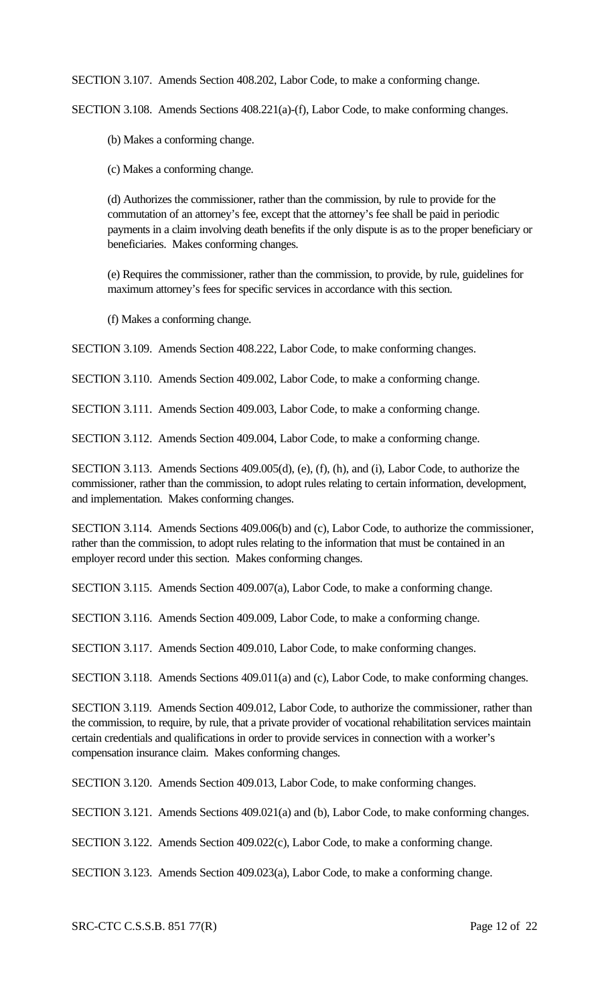SECTION 3.107. Amends Section 408.202, Labor Code, to make a conforming change.

SECTION 3.108. Amends Sections 408.221(a)-(f), Labor Code, to make conforming changes.

(b) Makes a conforming change.

(c) Makes a conforming change.

(d) Authorizes the commissioner, rather than the commission, by rule to provide for the commutation of an attorney's fee, except that the attorney's fee shall be paid in periodic payments in a claim involving death benefits if the only dispute is as to the proper beneficiary or beneficiaries. Makes conforming changes.

(e) Requires the commissioner, rather than the commission, to provide, by rule, guidelines for maximum attorney's fees for specific services in accordance with this section.

(f) Makes a conforming change.

SECTION 3.109. Amends Section 408.222, Labor Code, to make conforming changes.

SECTION 3.110. Amends Section 409.002, Labor Code, to make a conforming change.

SECTION 3.111. Amends Section 409.003, Labor Code, to make a conforming change.

SECTION 3.112. Amends Section 409.004, Labor Code, to make a conforming change.

SECTION 3.113. Amends Sections 409.005(d), (e), (f), (h), and (i), Labor Code, to authorize the commissioner, rather than the commission, to adopt rules relating to certain information, development, and implementation. Makes conforming changes.

SECTION 3.114. Amends Sections 409.006(b) and (c), Labor Code, to authorize the commissioner, rather than the commission, to adopt rules relating to the information that must be contained in an employer record under this section. Makes conforming changes.

SECTION 3.115. Amends Section 409.007(a), Labor Code, to make a conforming change.

SECTION 3.116. Amends Section 409.009, Labor Code, to make a conforming change.

SECTION 3.117. Amends Section 409.010, Labor Code, to make conforming changes.

SECTION 3.118. Amends Sections 409.011(a) and (c), Labor Code, to make conforming changes.

SECTION 3.119. Amends Section 409.012, Labor Code, to authorize the commissioner, rather than the commission, to require, by rule, that a private provider of vocational rehabilitation services maintain certain credentials and qualifications in order to provide services in connection with a worker's compensation insurance claim. Makes conforming changes.

SECTION 3.120. Amends Section 409.013, Labor Code, to make conforming changes.

SECTION 3.121. Amends Sections 409.021(a) and (b), Labor Code, to make conforming changes.

SECTION 3.122. Amends Section 409.022(c), Labor Code, to make a conforming change.

SECTION 3.123. Amends Section 409.023(a), Labor Code, to make a conforming change.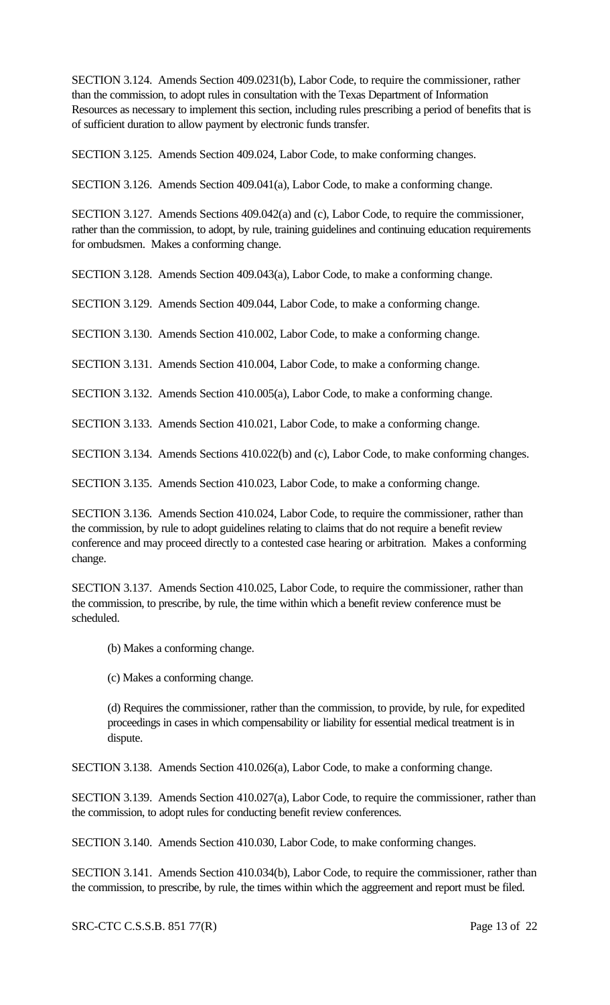SECTION 3.124. Amends Section 409.0231(b), Labor Code, to require the commissioner, rather than the commission, to adopt rules in consultation with the Texas Department of Information Resources as necessary to implement this section, including rules prescribing a period of benefits that is of sufficient duration to allow payment by electronic funds transfer.

SECTION 3.125. Amends Section 409.024, Labor Code, to make conforming changes.

SECTION 3.126. Amends Section 409.041(a), Labor Code, to make a conforming change.

SECTION 3.127. Amends Sections 409.042(a) and (c), Labor Code, to require the commissioner, rather than the commission, to adopt, by rule, training guidelines and continuing education requirements for ombudsmen. Makes a conforming change.

SECTION 3.128. Amends Section 409.043(a), Labor Code, to make a conforming change.

SECTION 3.129. Amends Section 409.044, Labor Code, to make a conforming change.

SECTION 3.130. Amends Section 410.002, Labor Code, to make a conforming change.

SECTION 3.131. Amends Section 410.004, Labor Code, to make a conforming change.

SECTION 3.132. Amends Section 410.005(a), Labor Code, to make a conforming change.

SECTION 3.133. Amends Section 410.021, Labor Code, to make a conforming change.

SECTION 3.134. Amends Sections 410.022(b) and (c), Labor Code, to make conforming changes.

SECTION 3.135. Amends Section 410.023, Labor Code, to make a conforming change.

SECTION 3.136. Amends Section 410.024, Labor Code, to require the commissioner, rather than the commission, by rule to adopt guidelines relating to claims that do not require a benefit review conference and may proceed directly to a contested case hearing or arbitration. Makes a conforming change.

SECTION 3.137. Amends Section 410.025, Labor Code, to require the commissioner, rather than the commission, to prescribe, by rule, the time within which a benefit review conference must be scheduled.

- (b) Makes a conforming change.
- (c) Makes a conforming change.

(d) Requires the commissioner, rather than the commission, to provide, by rule, for expedited proceedings in cases in which compensability or liability for essential medical treatment is in dispute.

SECTION 3.138. Amends Section 410.026(a), Labor Code, to make a conforming change.

SECTION 3.139. Amends Section 410.027(a), Labor Code, to require the commissioner, rather than the commission, to adopt rules for conducting benefit review conferences.

SECTION 3.140. Amends Section 410.030, Labor Code, to make conforming changes.

SECTION 3.141. Amends Section 410.034(b), Labor Code, to require the commissioner, rather than the commission, to prescribe, by rule, the times within which the aggreement and report must be filed.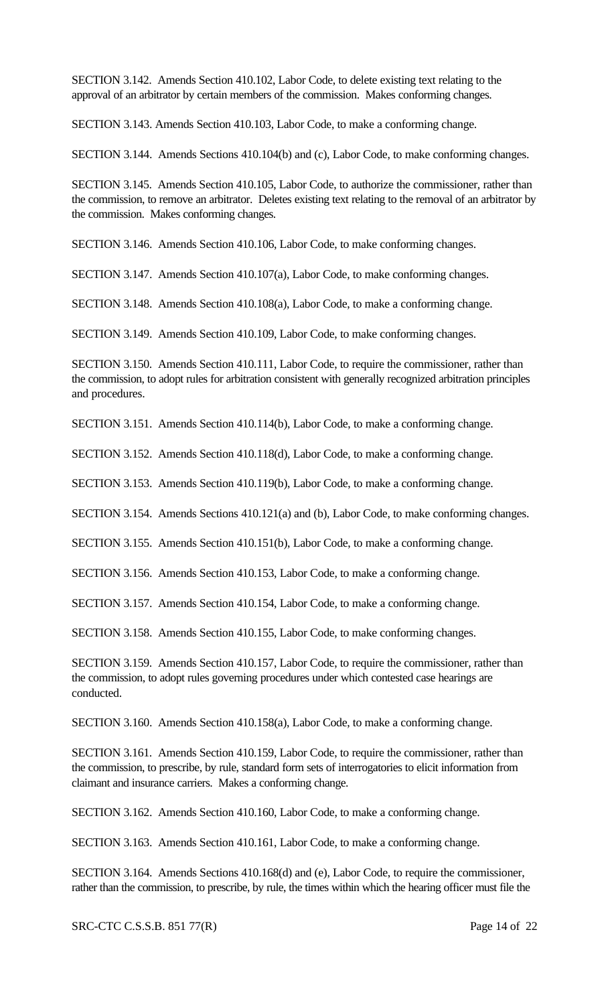SECTION 3.142. Amends Section 410.102, Labor Code, to delete existing text relating to the approval of an arbitrator by certain members of the commission. Makes conforming changes.

SECTION 3.143. Amends Section 410.103, Labor Code, to make a conforming change.

SECTION 3.144. Amends Sections 410.104(b) and (c), Labor Code, to make conforming changes.

SECTION 3.145. Amends Section 410.105, Labor Code, to authorize the commissioner, rather than the commission, to remove an arbitrator. Deletes existing text relating to the removal of an arbitrator by the commission. Makes conforming changes.

SECTION 3.146. Amends Section 410.106, Labor Code, to make conforming changes.

SECTION 3.147. Amends Section 410.107(a), Labor Code, to make conforming changes.

SECTION 3.148. Amends Section 410.108(a), Labor Code, to make a conforming change.

SECTION 3.149. Amends Section 410.109, Labor Code, to make conforming changes.

SECTION 3.150. Amends Section 410.111, Labor Code, to require the commissioner, rather than the commission, to adopt rules for arbitration consistent with generally recognized arbitration principles and procedures.

SECTION 3.151. Amends Section 410.114(b), Labor Code, to make a conforming change.

SECTION 3.152. Amends Section 410.118(d), Labor Code, to make a conforming change.

SECTION 3.153. Amends Section 410.119(b), Labor Code, to make a conforming change.

SECTION 3.154. Amends Sections 410.121(a) and (b), Labor Code, to make conforming changes.

SECTION 3.155. Amends Section 410.151(b), Labor Code, to make a conforming change.

SECTION 3.156. Amends Section 410.153, Labor Code, to make a conforming change.

SECTION 3.157. Amends Section 410.154, Labor Code, to make a conforming change.

SECTION 3.158. Amends Section 410.155, Labor Code, to make conforming changes.

SECTION 3.159. Amends Section 410.157, Labor Code, to require the commissioner, rather than the commission, to adopt rules governing procedures under which contested case hearings are conducted.

SECTION 3.160. Amends Section 410.158(a), Labor Code, to make a conforming change.

SECTION 3.161. Amends Section 410.159, Labor Code, to require the commissioner, rather than the commission, to prescribe, by rule, standard form sets of interrogatories to elicit information from claimant and insurance carriers. Makes a conforming change.

SECTION 3.162. Amends Section 410.160, Labor Code, to make a conforming change.

SECTION 3.163. Amends Section 410.161, Labor Code, to make a conforming change.

SECTION 3.164. Amends Sections 410.168(d) and (e), Labor Code, to require the commissioner, rather than the commission, to prescribe, by rule, the times within which the hearing officer must file the

SRC-CTC C.S.S.B. 851 77(R) Page 14 of 22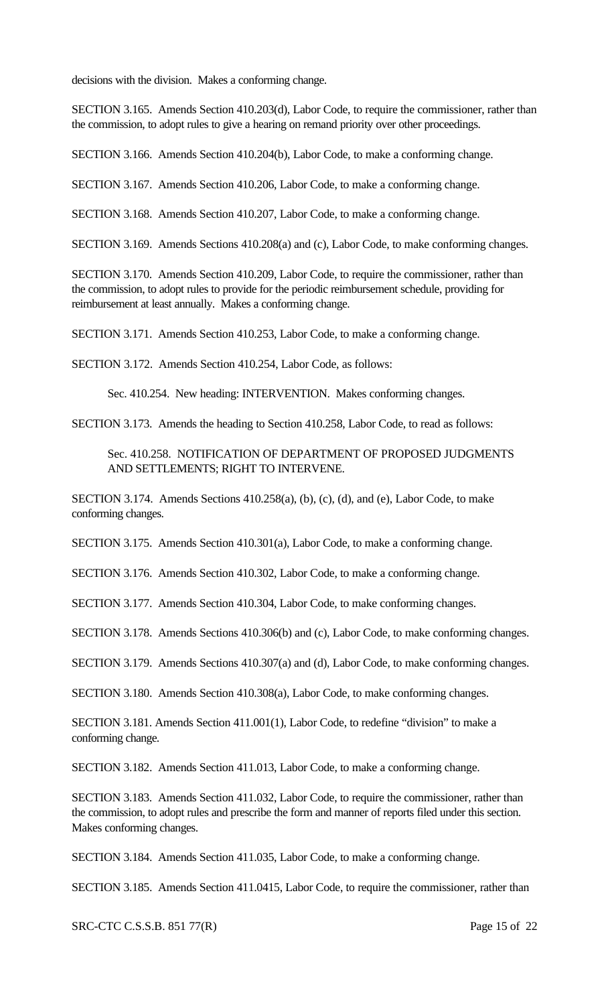decisions with the division. Makes a conforming change.

SECTION 3.165. Amends Section 410.203(d), Labor Code, to require the commissioner, rather than the commission, to adopt rules to give a hearing on remand priority over other proceedings.

SECTION 3.166. Amends Section 410.204(b), Labor Code, to make a conforming change.

SECTION 3.167. Amends Section 410.206, Labor Code, to make a conforming change.

SECTION 3.168. Amends Section 410.207, Labor Code, to make a conforming change.

SECTION 3.169. Amends Sections 410.208(a) and (c), Labor Code, to make conforming changes.

SECTION 3.170. Amends Section 410.209, Labor Code, to require the commissioner, rather than the commission, to adopt rules to provide for the periodic reimbursement schedule, providing for reimbursement at least annually. Makes a conforming change.

SECTION 3.171. Amends Section 410.253, Labor Code, to make a conforming change.

SECTION 3.172. Amends Section 410.254, Labor Code, as follows:

Sec. 410.254. New heading: INTERVENTION. Makes conforming changes.

SECTION 3.173. Amends the heading to Section 410.258, Labor Code, to read as follows:

Sec. 410.258. NOTIFICATION OF DEPARTMENT OF PROPOSED JUDGMENTS AND SETTLEMENTS; RIGHT TO INTERVENE.

SECTION 3.174. Amends Sections 410.258(a), (b), (c), (d), and (e), Labor Code, to make conforming changes.

SECTION 3.175. Amends Section 410.301(a), Labor Code, to make a conforming change.

SECTION 3.176. Amends Section 410.302, Labor Code, to make a conforming change.

SECTION 3.177. Amends Section 410.304, Labor Code, to make conforming changes.

SECTION 3.178. Amends Sections 410.306(b) and (c), Labor Code, to make conforming changes.

SECTION 3.179. Amends Sections 410.307(a) and (d), Labor Code, to make conforming changes.

SECTION 3.180. Amends Section 410.308(a), Labor Code, to make conforming changes.

SECTION 3.181. Amends Section 411.001(1), Labor Code, to redefine "division" to make a conforming change.

SECTION 3.182. Amends Section 411.013, Labor Code, to make a conforming change.

SECTION 3.183. Amends Section 411.032, Labor Code, to require the commissioner, rather than the commission, to adopt rules and prescribe the form and manner of reports filed under this section. Makes conforming changes.

SECTION 3.184. Amends Section 411.035, Labor Code, to make a conforming change.

SECTION 3.185. Amends Section 411.0415, Labor Code, to require the commissioner, rather than

SRC-CTC C.S.S.B. 851 77(R) Page 15 of 22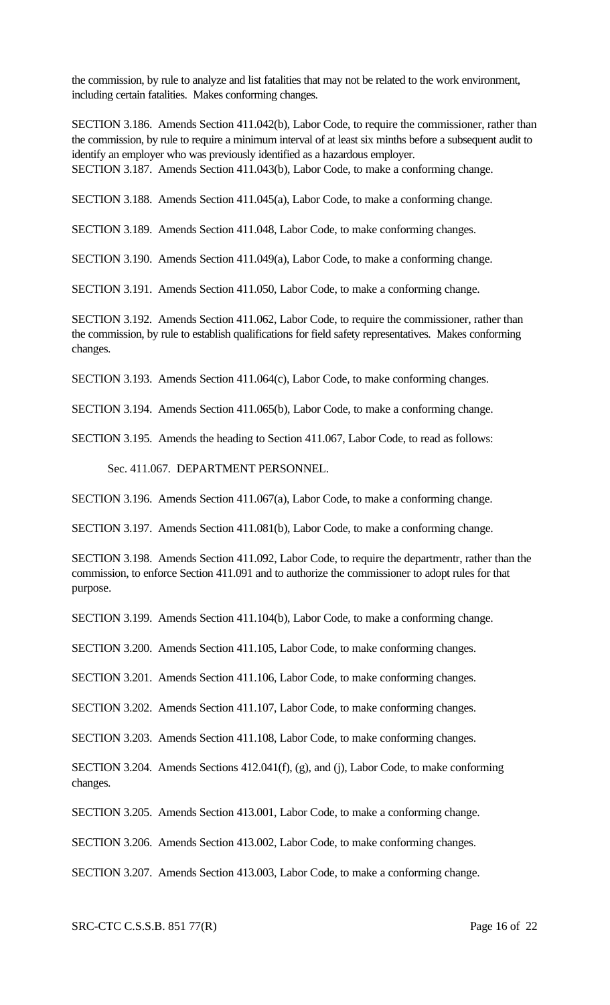the commission, by rule to analyze and list fatalities that may not be related to the work environment, including certain fatalities. Makes conforming changes.

SECTION 3.186. Amends Section 411.042(b), Labor Code, to require the commissioner, rather than the commission, by rule to require a minimum interval of at least six minths before a subsequent audit to identify an employer who was previously identified as a hazardous employer. SECTION 3.187. Amends Section 411.043(b), Labor Code, to make a conforming change.

SECTION 3.188. Amends Section 411.045(a), Labor Code, to make a conforming change.

SECTION 3.189. Amends Section 411.048, Labor Code, to make conforming changes.

SECTION 3.190. Amends Section 411.049(a), Labor Code, to make a conforming change.

SECTION 3.191. Amends Section 411.050, Labor Code, to make a conforming change.

SECTION 3.192. Amends Section 411.062, Labor Code, to require the commissioner, rather than the commission, by rule to establish qualifications for field safety representatives. Makes conforming changes.

SECTION 3.193. Amends Section 411.064(c), Labor Code, to make conforming changes.

SECTION 3.194. Amends Section 411.065(b), Labor Code, to make a conforming change.

SECTION 3.195. Amends the heading to Section 411.067, Labor Code, to read as follows:

Sec. 411.067. DEPARTMENT PERSONNEL.

SECTION 3.196. Amends Section 411.067(a), Labor Code, to make a conforming change.

SECTION 3.197. Amends Section 411.081(b), Labor Code, to make a conforming change.

SECTION 3.198. Amends Section 411.092, Labor Code, to require the departmentr, rather than the commission, to enforce Section 411.091 and to authorize the commissioner to adopt rules for that purpose.

SECTION 3.199. Amends Section 411.104(b), Labor Code, to make a conforming change.

SECTION 3.200. Amends Section 411.105, Labor Code, to make conforming changes.

SECTION 3.201. Amends Section 411.106, Labor Code, to make conforming changes.

SECTION 3.202. Amends Section 411.107, Labor Code, to make conforming changes.

SECTION 3.203. Amends Section 411.108, Labor Code, to make conforming changes.

SECTION 3.204. Amends Sections 412.041(f), (g), and (j), Labor Code, to make conforming changes.

SECTION 3.205. Amends Section 413.001, Labor Code, to make a conforming change.

SECTION 3.206. Amends Section 413.002, Labor Code, to make conforming changes.

SECTION 3.207. Amends Section 413.003, Labor Code, to make a conforming change.

SRC-CTC C.S.S.B. 851 77(R) Page 16 of 22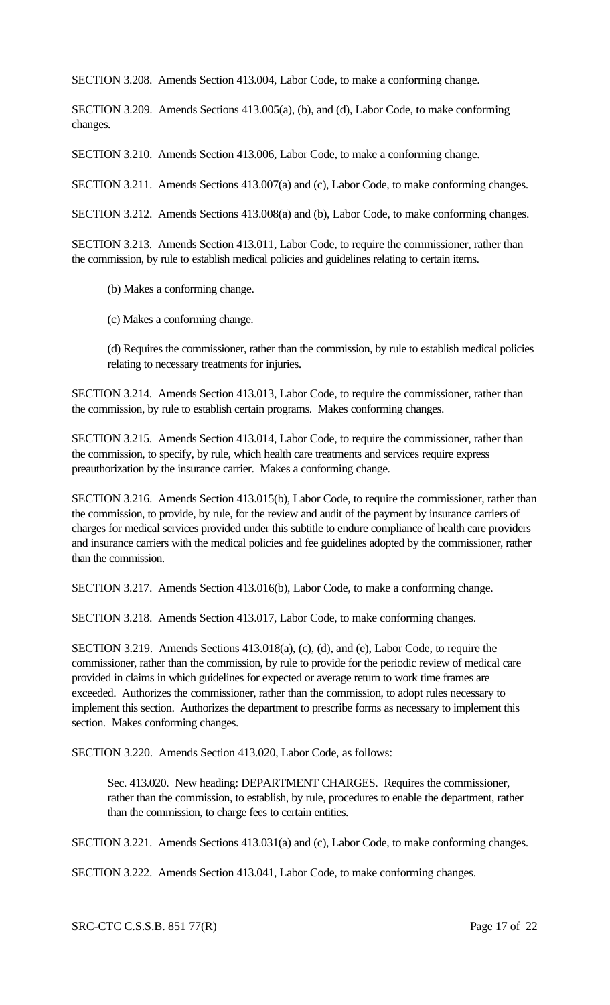SECTION 3.208. Amends Section 413.004, Labor Code, to make a conforming change.

SECTION 3.209. Amends Sections 413.005(a), (b), and (d), Labor Code, to make conforming changes.

SECTION 3.210. Amends Section 413.006, Labor Code, to make a conforming change.

SECTION 3.211. Amends Sections 413.007(a) and (c), Labor Code, to make conforming changes.

SECTION 3.212. Amends Sections 413.008(a) and (b), Labor Code, to make conforming changes.

SECTION 3.213. Amends Section 413.011, Labor Code, to require the commissioner, rather than the commission, by rule to establish medical policies and guidelines relating to certain items.

- (b) Makes a conforming change.
- (c) Makes a conforming change.

(d) Requires the commissioner, rather than the commission, by rule to establish medical policies relating to necessary treatments for injuries.

SECTION 3.214. Amends Section 413.013, Labor Code, to require the commissioner, rather than the commission, by rule to establish certain programs. Makes conforming changes.

SECTION 3.215. Amends Section 413.014, Labor Code, to require the commissioner, rather than the commission, to specify, by rule, which health care treatments and services require express preauthorization by the insurance carrier. Makes a conforming change.

SECTION 3.216. Amends Section 413.015(b), Labor Code, to require the commissioner, rather than the commission, to provide, by rule, for the review and audit of the payment by insurance carriers of charges for medical services provided under this subtitle to endure compliance of health care providers and insurance carriers with the medical policies and fee guidelines adopted by the commissioner, rather than the commission.

SECTION 3.217. Amends Section 413.016(b), Labor Code, to make a conforming change.

SECTION 3.218. Amends Section 413.017, Labor Code, to make conforming changes.

SECTION 3.219. Amends Sections 413.018(a), (c), (d), and (e), Labor Code, to require the commissioner, rather than the commission, by rule to provide for the periodic review of medical care provided in claims in which guidelines for expected or average return to work time frames are exceeded. Authorizes the commissioner, rather than the commission, to adopt rules necessary to implement this section. Authorizes the department to prescribe forms as necessary to implement this section. Makes conforming changes.

SECTION 3.220. Amends Section 413.020, Labor Code, as follows:

Sec. 413.020. New heading: DEPARTMENT CHARGES. Requires the commissioner, rather than the commission, to establish, by rule, procedures to enable the department, rather than the commission, to charge fees to certain entities.

SECTION 3.221. Amends Sections 413.031(a) and (c), Labor Code, to make conforming changes.

SECTION 3.222. Amends Section 413.041, Labor Code, to make conforming changes.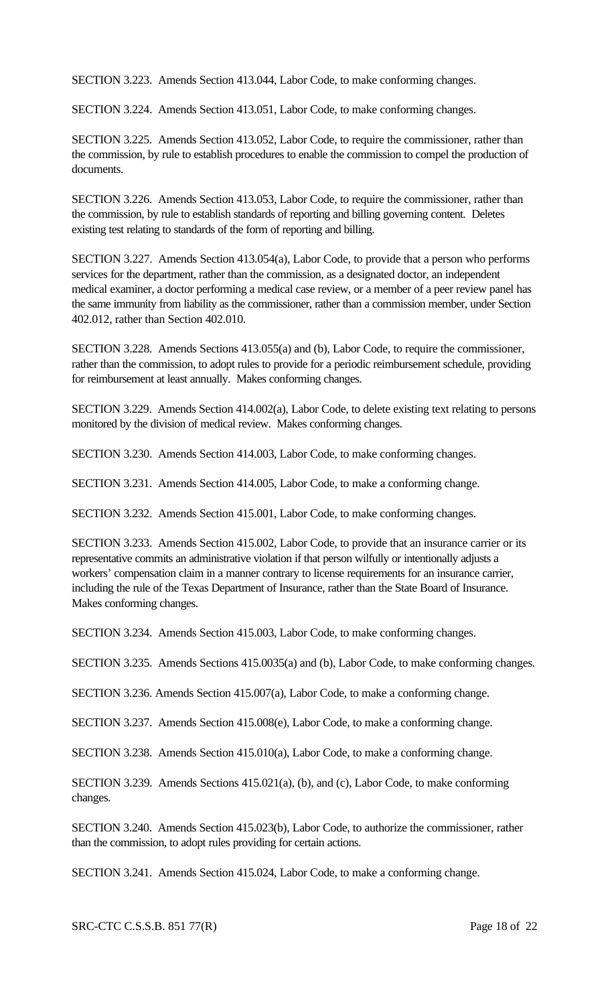SECTION 3.223. Amends Section 413.044, Labor Code, to make conforming changes.

SECTION 3.224. Amends Section 413.051, Labor Code, to make conforming changes.

SECTION 3.225. Amends Section 413.052, Labor Code, to require the commissioner, rather than the commission, by rule to establish procedures to enable the commission to compel the production of documents.

SECTION 3.226. Amends Section 413.053, Labor Code, to require the commissioner, rather than the commission, by rule to establish standards of reporting and billing governing content. Deletes existing test relating to standards of the form of reporting and billing.

SECTION 3.227. Amends Section 413.054(a), Labor Code, to provide that a person who performs services for the department, rather than the commission, as a designated doctor, an independent medical examiner, a doctor performing a medical case review, or a member of a peer review panel has the same immunity from liability as the commissioner, rather than a commission member, under Section 402.012, rather than Section 402.010.

SECTION 3.228. Amends Sections 413.055(a) and (b), Labor Code, to require the commissioner, rather than the commission, to adopt rules to provide for a periodic reimbursement schedule, providing for reimbursement at least annually. Makes conforming changes.

SECTION 3.229. Amends Section 414.002(a), Labor Code, to delete existing text relating to persons monitored by the division of medical review. Makes conforming changes.

SECTION 3.230. Amends Section 414.003, Labor Code, to make conforming changes.

SECTION 3.231. Amends Section 414.005, Labor Code, to make a conforming change.

SECTION 3.232. Amends Section 415.001, Labor Code, to make conforming changes.

SECTION 3.233. Amends Section 415.002, Labor Code, to provide that an insurance carrier or its representative commits an administrative violation if that person wilfully or intentionally adjusts a workers' compensation claim in a manner contrary to license requirements for an insurance carrier, including the rule of the Texas Department of Insurance, rather than the State Board of Insurance. Makes conforming changes.

SECTION 3.234. Amends Section 415.003, Labor Code, to make conforming changes.

SECTION 3.235. Amends Sections 415.0035(a) and (b), Labor Code, to make conforming changes.

SECTION 3.236. Amends Section 415.007(a), Labor Code, to make a conforming change.

SECTION 3.237. Amends Section 415.008(e), Labor Code, to make a conforming change.

SECTION 3.238. Amends Section 415.010(a), Labor Code, to make a conforming change.

SECTION 3.239. Amends Sections 415.021(a), (b), and (c), Labor Code, to make conforming changes.

SECTION 3.240. Amends Section 415.023(b), Labor Code, to authorize the commissioner, rather than the commission, to adopt rules providing for certain actions.

SECTION 3.241. Amends Section 415.024, Labor Code, to make a conforming change.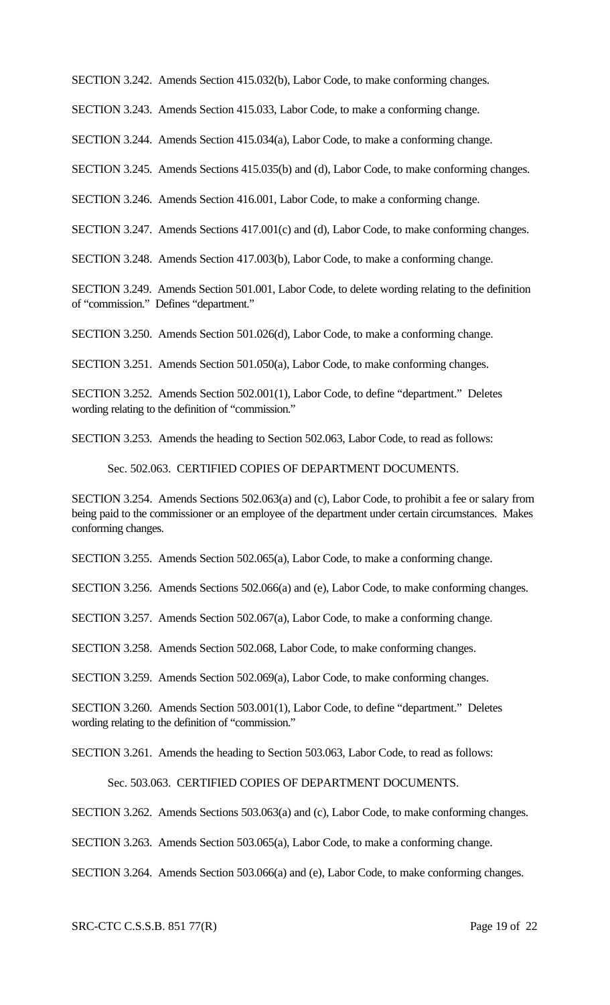SECTION 3.242. Amends Section 415.032(b), Labor Code, to make conforming changes.

SECTION 3.243. Amends Section 415.033, Labor Code, to make a conforming change.

SECTION 3.244. Amends Section 415.034(a), Labor Code, to make a conforming change.

SECTION 3.245. Amends Sections 415.035(b) and (d), Labor Code, to make conforming changes.

SECTION 3.246. Amends Section 416.001, Labor Code, to make a conforming change.

SECTION 3.247. Amends Sections 417.001(c) and (d), Labor Code, to make conforming changes.

SECTION 3.248. Amends Section 417.003(b), Labor Code, to make a conforming change.

SECTION 3.249. Amends Section 501.001, Labor Code, to delete wording relating to the definition of "commission." Defines "department."

SECTION 3.250. Amends Section 501.026(d), Labor Code, to make a conforming change.

SECTION 3.251. Amends Section 501.050(a), Labor Code, to make conforming changes.

SECTION 3.252. Amends Section 502.001(1), Labor Code, to define "department." Deletes wording relating to the definition of "commission."

SECTION 3.253. Amends the heading to Section 502.063, Labor Code, to read as follows:

Sec. 502.063. CERTIFIED COPIES OF DEPARTMENT DOCUMENTS.

SECTION 3.254. Amends Sections 502.063(a) and (c), Labor Code, to prohibit a fee or salary from being paid to the commissioner or an employee of the department under certain circumstances. Makes conforming changes.

SECTION 3.255. Amends Section 502.065(a), Labor Code, to make a conforming change.

SECTION 3.256. Amends Sections 502.066(a) and (e), Labor Code, to make conforming changes.

SECTION 3.257. Amends Section 502.067(a), Labor Code, to make a conforming change.

SECTION 3.258. Amends Section 502.068, Labor Code, to make conforming changes.

SECTION 3.259. Amends Section 502.069(a), Labor Code, to make conforming changes.

SECTION 3.260. Amends Section 503.001(1), Labor Code, to define "department." Deletes wording relating to the definition of "commission."

SECTION 3.261. Amends the heading to Section 503.063, Labor Code, to read as follows:

Sec. 503.063. CERTIFIED COPIES OF DEPARTMENT DOCUMENTS.

SECTION 3.262. Amends Sections 503.063(a) and (c), Labor Code, to make conforming changes.

SECTION 3.263. Amends Section 503.065(a), Labor Code, to make a conforming change.

SECTION 3.264. Amends Section 503.066(a) and (e), Labor Code, to make conforming changes.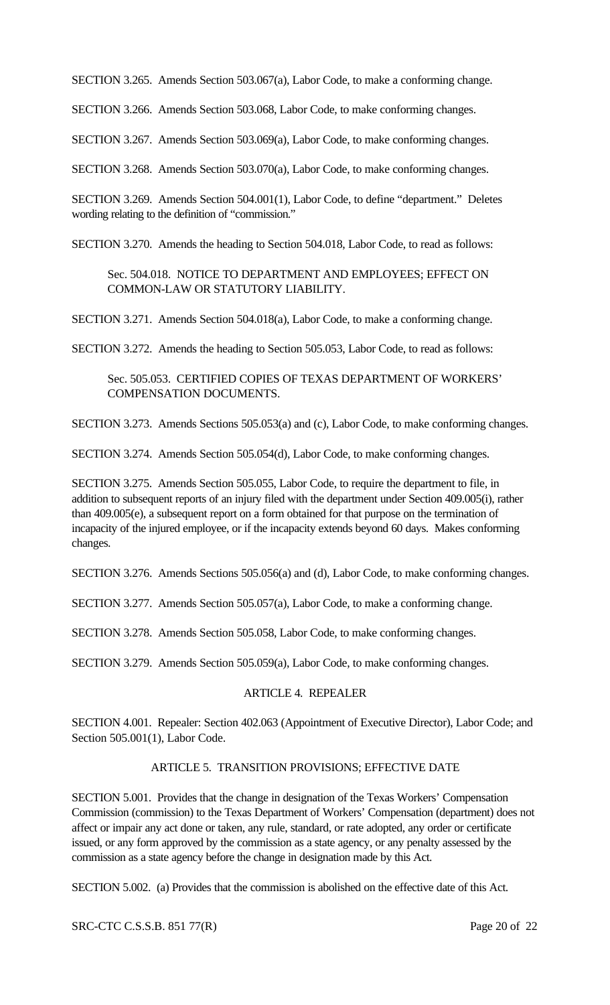SECTION 3.265. Amends Section 503.067(a), Labor Code, to make a conforming change.

SECTION 3.266. Amends Section 503.068, Labor Code, to make conforming changes.

SECTION 3.267. Amends Section 503.069(a), Labor Code, to make conforming changes.

SECTION 3.268. Amends Section 503.070(a), Labor Code, to make conforming changes.

SECTION 3.269. Amends Section 504.001(1), Labor Code, to define "department." Deletes wording relating to the definition of "commission."

SECTION 3.270. Amends the heading to Section 504.018, Labor Code, to read as follows:

Sec. 504.018. NOTICE TO DEPARTMENT AND EMPLOYEES; EFFECT ON COMMON-LAW OR STATUTORY LIABILITY.

SECTION 3.271. Amends Section 504.018(a), Labor Code, to make a conforming change.

SECTION 3.272. Amends the heading to Section 505.053, Labor Code, to read as follows:

Sec. 505.053. CERTIFIED COPIES OF TEXAS DEPARTMENT OF WORKERS' COMPENSATION DOCUMENTS.

SECTION 3.273. Amends Sections 505.053(a) and (c), Labor Code, to make conforming changes.

SECTION 3.274. Amends Section 505.054(d), Labor Code, to make conforming changes.

SECTION 3.275. Amends Section 505.055, Labor Code, to require the department to file, in addition to subsequent reports of an injury filed with the department under Section 409.005(i), rather than 409.005(e), a subsequent report on a form obtained for that purpose on the termination of incapacity of the injured employee, or if the incapacity extends beyond 60 days. Makes conforming changes.

SECTION 3.276. Amends Sections 505.056(a) and (d), Labor Code, to make conforming changes.

SECTION 3.277. Amends Section 505.057(a), Labor Code, to make a conforming change.

SECTION 3.278. Amends Section 505.058, Labor Code, to make conforming changes.

SECTION 3.279. Amends Section 505.059(a), Labor Code, to make conforming changes.

# ARTICLE 4. REPEALER

SECTION 4.001. Repealer: Section 402.063 (Appointment of Executive Director), Labor Code; and Section 505.001(1), Labor Code.

### ARTICLE 5. TRANSITION PROVISIONS; EFFECTIVE DATE

SECTION 5.001. Provides that the change in designation of the Texas Workers' Compensation Commission (commission) to the Texas Department of Workers' Compensation (department) does not affect or impair any act done or taken, any rule, standard, or rate adopted, any order or certificate issued, or any form approved by the commission as a state agency, or any penalty assessed by the commission as a state agency before the change in designation made by this Act.

SECTION 5.002. (a) Provides that the commission is abolished on the effective date of this Act.

SRC-CTC C.S.S.B. 851 77(R) Page 20 of 22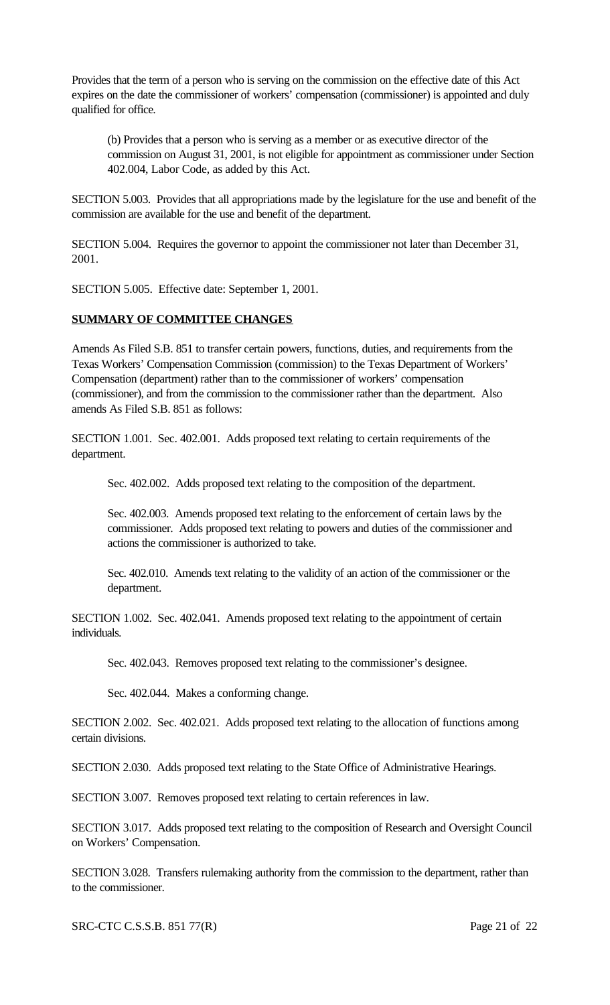Provides that the term of a person who is serving on the commission on the effective date of this Act expires on the date the commissioner of workers' compensation (commissioner) is appointed and duly qualified for office.

(b) Provides that a person who is serving as a member or as executive director of the commission on August 31, 2001, is not eligible for appointment as commissioner under Section 402.004, Labor Code, as added by this Act.

SECTION 5.003. Provides that all appropriations made by the legislature for the use and benefit of the commission are available for the use and benefit of the department.

SECTION 5.004. Requires the governor to appoint the commissioner not later than December 31, 2001.

SECTION 5.005. Effective date: September 1, 2001.

# **SUMMARY OF COMMITTEE CHANGES**

Amends As Filed S.B. 851 to transfer certain powers, functions, duties, and requirements from the Texas Workers' Compensation Commission (commission) to the Texas Department of Workers' Compensation (department) rather than to the commissioner of workers' compensation (commissioner), and from the commission to the commissioner rather than the department. Also amends As Filed S.B. 851 as follows:

SECTION 1.001. Sec. 402.001. Adds proposed text relating to certain requirements of the department.

Sec. 402.002. Adds proposed text relating to the composition of the department.

Sec. 402.003. Amends proposed text relating to the enforcement of certain laws by the commissioner. Adds proposed text relating to powers and duties of the commissioner and actions the commissioner is authorized to take.

Sec. 402.010. Amends text relating to the validity of an action of the commissioner or the department.

SECTION 1.002. Sec. 402.041. Amends proposed text relating to the appointment of certain individuals.

Sec. 402.043. Removes proposed text relating to the commissioner's designee.

Sec. 402.044. Makes a conforming change.

SECTION 2.002. Sec. 402.021. Adds proposed text relating to the allocation of functions among certain divisions.

SECTION 2.030. Adds proposed text relating to the State Office of Administrative Hearings.

SECTION 3.007. Removes proposed text relating to certain references in law.

SECTION 3.017. Adds proposed text relating to the composition of Research and Oversight Council on Workers' Compensation.

SECTION 3.028. Transfers rulemaking authority from the commission to the department, rather than to the commissioner.